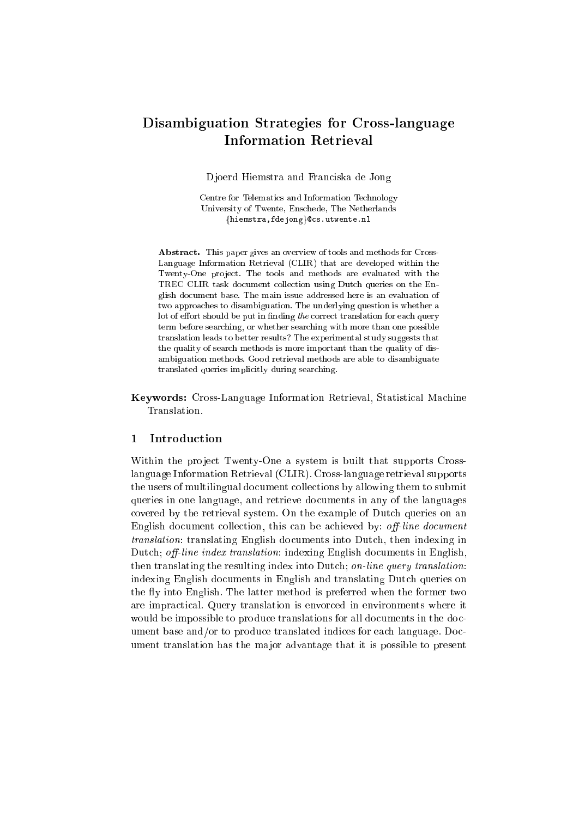# Disambiguation Strategies for Cross-language

Djoerd Hiemstra and Fran
iska de Jong

Centre for Telemati
s and Information Te
hnology University of Twente, Ens
hede, The Netherlands fhiemstra,fdejongg
s.utwente.nl

Abstract. This paper gives an overview of tools and methods for Cross-Language Information Retrieval (CLIR) that are developed within the Twenty-One project. The tools and methods are evaluated with the TREC CLIR task document collection using Dutch queries on the English do
ument base. The main issue addressed here is an evaluation of two approa
hes to disambiguation. The underlying question is whether a lot of effort should be put in finding the correct translation for each query term before sear
hing, or whether sear
hing with more than one possible translation leads to better results? The experimental study suggests that the quality of sear
h methods is more important than the quality of disambiguation methods. Good retrieval methods are able to disambiguate translated queries implicitly during searching.

Keywords: Cross-Language Information Retrieval, Statisti
al Ma
hine Translation.

Within the project Twenty-One a system is built that supports Crosslanguage Information Retrieval (CLIR). Cross-language retrieval supports the users of multilingual do
ument olle
tions by allowing them to submit queries in one language, and retrieve do
uments in any of the languages overed by the retrieval system. On the example of Dut
h queries on an English document collection, this can be achieved by: *off-line document* translation: translating English documents into Dutch, then indexing in Dutch; *off-line index translation*: indexing English documents in English, then translating the resulting index into Dutch; on-line query translation: indexing English do
uments in English and translating Dut
h queries on the fly into English. The latter method is preferred when the former two are impractical. Query translation is envorced in environments where it would be impossible to produce translations for all documents in the document base and/or to produce translated indices for each language. Document translation has the major advantage that it is possible to present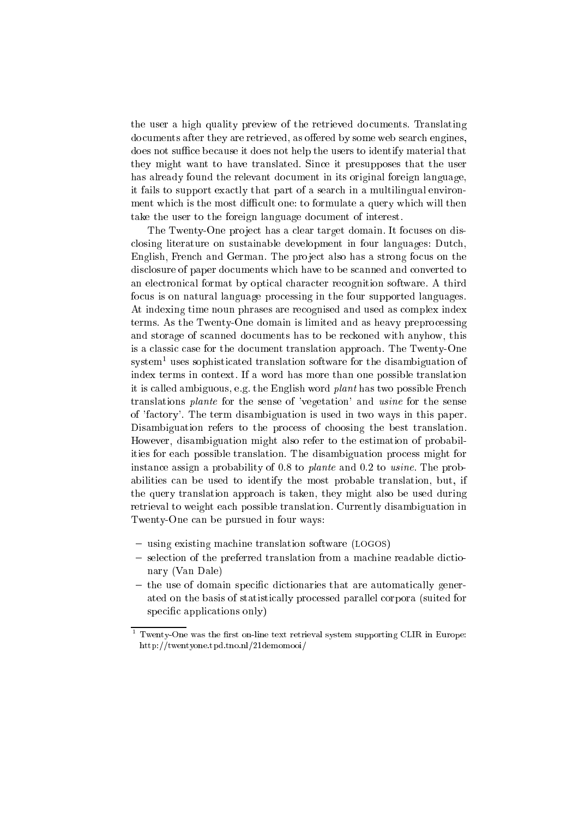the user a high quality preview of the retrieved do
uments. Translating documents after they are retrieved, as offered by some web search engines, does not suffice because it does not help the users to identify material that they might want to have translated. Sin
e it presupposes that the user has already found the relevant document in its original foreign language, it fails to support exa
tly that part of a sear
h in a multilingual environment which is the most difficult one: to formulate a query which will then take the user to the foreign language document of interest.

The Twenty-One project has a clear target domain. It focuses on disclosing literature on sustainable development in four languages: Dutch, English, French and German. The project also has a strong focus on the disclosure of paper documents which have to be scanned and converted to an ele
troni
al format by opti
al hara
ter re
ognition software. A third fo
us is on natural language pro
essing in the four supported languages. At indexing time noun phrases are re
ognised and used as omplex index terms. As the Twenty-One domain is limited and as heavy prepro
essing and storage of scanned documents has to be reckoned with anyhow, this is a classic case for the document translation approach. The Twenty-One system uses sophisticated translation software for the disambiguation of index terms in ontext. If a word has more than one possible translation it is called ambiguous, e.g. the English word *plant* has two possible French translations plante for the sense of 'vegetation' and usine for the sense of 'fa
tory'. The term disambiguation is used in two ways in this paper. Disambiguation refers to the process of choosing the best translation. However, disambiguation might also refer to the estimation of probabilities for ea
h possible translation. The disambiguation pro
ess might for instan
e assign a probability of 0.8 to plante and 0.2 to usine. The probabilities an be used to identify the most probable translation, but, if the query translation approach is taken, they might also be used during retrieval to weight ea
h possible translation. Currently disambiguation in Twenty-One an be pursued in four ways:

- { using existing ma
hine translation software (LOGOS)
- selection of the preferred translation from a machine readable dictionary (Van Dale)
- $-$  the use of domain specific dictionaries that are automatically generated on the basis of statisti
ally pro
essed parallel orpora (suited for specific applications only)

Tuwenty-One was the first on-line text retrieval system supporting CLIR in Europe: http://twentyone.tpd.tno.nl/21demomooi/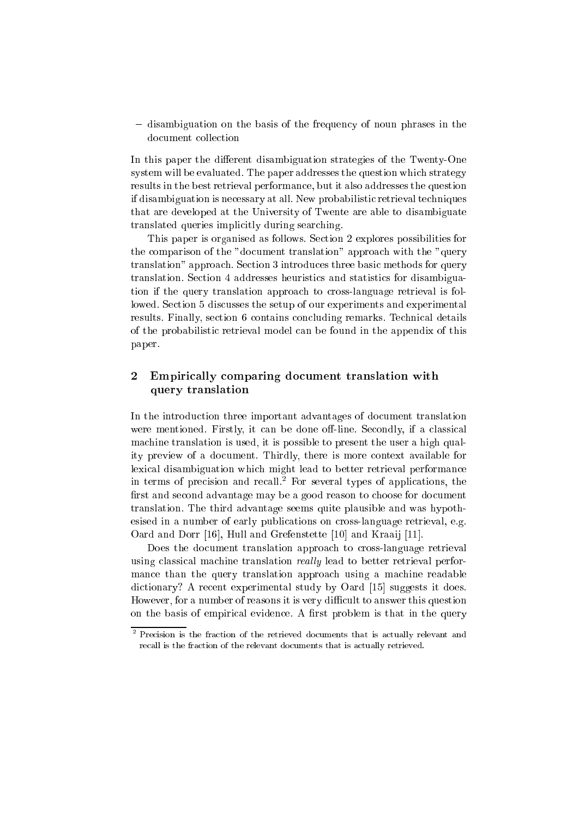$\overline{a}$  disambiguation on the basis of the frequency of noun phrases in the document collection

In this paper the different disambiguation strategies of the Twenty-One system will be evaluated. The paper addresses the question whi
h strategy results in the best retrieval performan
e, but it also addresses the question if disambiguation is ne
essary at all. New probabilisti retrieval te
hniques that are developed at the University of Twente are able to disambiguate translated queries implicitly during searching.

This paper is organised as follows. Section 2 explores possibilities for the comparison of the "document translation" approach with the "query" translation" approa
h. Se
tion 3 introdu
es three basi methods for query translation. Section 4 addresses heuristics and statistics for disambiguation if the query translation approach to cross-language retrieval is followed. Se
tion 5 dis
usses the setup of our experiments and experimental results. Finally, section 6 contains concluding remarks. Technical details of the probabilistic retrieval model can be found in the appendix of this paper.

## 2 Empirically comparing document translation with query translation

In the introdu
tion three important advantages of do
ument translation were mentioned. Firstly, it can be done off-line. Secondly, if a classical ma
hine translation is used, it is possible to present the user a high quality preview of a document. Thirdly, there is more context available for lexical disambiguation which might lead to better retrieval performance in terms of precision and recall. For several types of applications, the first and second advantage may be a good reason to choose for document translation. The third advantage seems quite plausible and was hypothesised in a number of early publications on cross-language retrieval, e.g. Oard and Dorr [16], Hull and Grefenstette [10] and Kraaij [11].

Does the document translation approach to cross-language retrieval using classical machine translation *really* lead to better retrieval performance than the query translation approach using a machine readable dictionary? A recent experimental study by Oard  $[15]$  suggests it does. However, for a number of reasons it is very difficult to answer this question on the basis of empirical evidence. A first problem is that in the query

the precision is the fraction of the retrieved documents that is actually relevant and recall is the fraction of the relevant documents that is actually retrieved.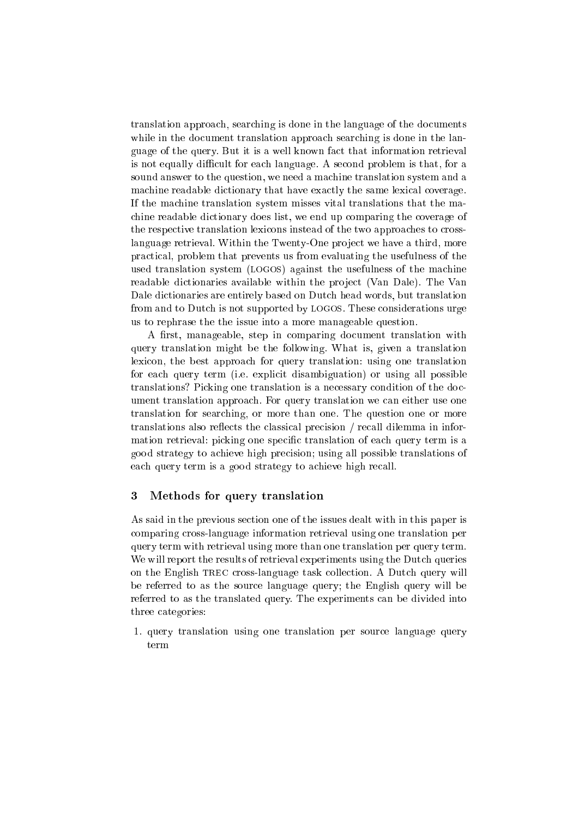translation approa
h, sear
hing is done in the language of the do
uments while in the document translation approach searching is done in the language of the query. But it is a well known fa
t that information retrieval is not equally difficult for each language. A second problem is that, for a sound answer to the question, we need a machine translation system and a machine readable dictionary that have exactly the same lexical coverage. If the ma
hine translation system misses vital translations that the ma chine readable dictionary does list, we end up comparing the coverage of the respective translation lexicons instead of the two approaches to crosslanguage retrieval. Within the Twenty-One project we have a third, more pra
ti
al, problem that prevents us from evaluating the usefulness of the used translation system (LOGOS) against the usefulness of the ma
hine readable dictionaries available within the project (Van Dale). The Van Dale di
tionaries are entirely based on Dut
h head words, but translation from and to Dutch is not supported by LOGOS. These considerations urge us to rephrase the the issue into a more manageable question.

A first, manageable, step in comparing document translation with query translation might be the following. What is, given a translation lexi
on, the best approa
h for query translation: using one translation for ea
h query term (i.e. expli
it disambiguation) or using all possible translations? Picking one translation is a necessary condition of the document translation approach. For query translation we can either use one translation for sear
hing, or more than one. The question one or more translations also reflects the classical precision / recall dilemma in information retrieval: picking one specific translation of each query term is a good strategy to a
hieve high pre
ision; using all possible translations of each query term is a good strategy to achieve high recall.

### 3 Methods for query translation

As said in the previous se
tion one of the issues dealt with in this paper is omparing ross-language information retrieval using one translation per query term with retrieval using more than one translation per query term. We will report the results of retrieval experiments using the Dutch queries on the English TREC cross-language task collection. A Dutch query will be referred to as the sour
e language query; the English query will be referred to as the translated query. The experiments can be divided into three ategories:

1. query translation using one translation per sour
e language query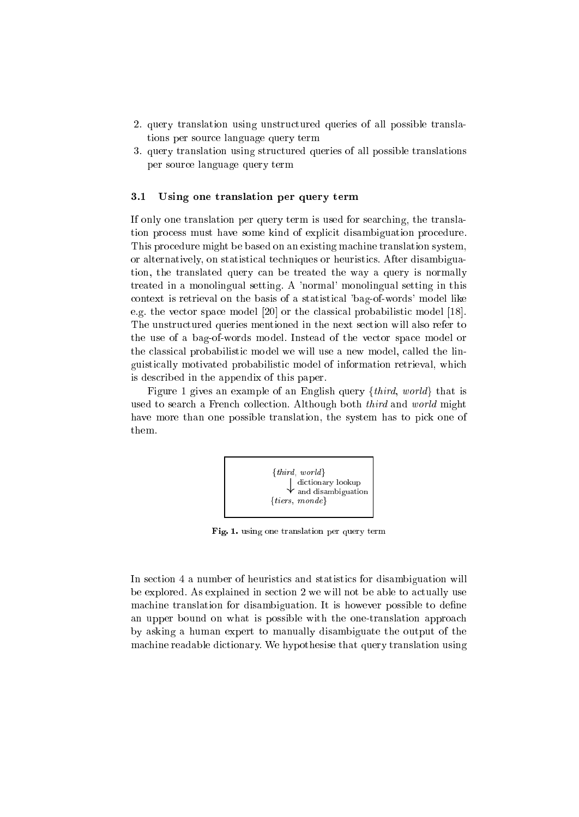- 2. query translation using unstructured queries of all possible translations per sour
e language query term
- 3. query translation using structured queries of all possible translations per sour
e language query term

### 3.1 Using one translation per query term

If only one translation per query term is used for sear
hing, the translation pro
ess must have some kind of expli
it disambiguation pro
edure. This procedure might be based on an existing machine translation system. or alternatively, on statistical techniques or heuristics. After disambiguation, the translated query can be treated the way a query is normally treated in a monolingual setting. A 'normal' monolingual setting in this ontext is retrieval on the basis of a statisti
al 'bag-of-words' model like e.g. the vector space model  $[20]$  or the classical probabilistic model  $[18]$ . The unstructured queries mentioned in the next section will also refer to the use of a bag-of-words model. Instead of the vector space model or the classical probabilistic model we will use a new model, called the linguisti
ally motivated probabilisti model of information retrieval, whi
h is des
ribed in the appendix of this paper.

Figure 1 gives an example of an English query  $\{third, world\}$  that is used to search a French collection. Although both *third* and *world* might have more than one possible translation, the system has to pick one of them.



Fig. 1. using one translation per query term

In section 4 a number of heuristics and statistics for disambiguation will be explored. As explained in section 2 we will not be able to actually use machine translation for disambiguation. It is however possible to define an upper bound on what is possible with the one-translation approa
h by asking a human expert to manually disambiguate the output of the ma
hine readable di
tionary. We hypothesise that query translation using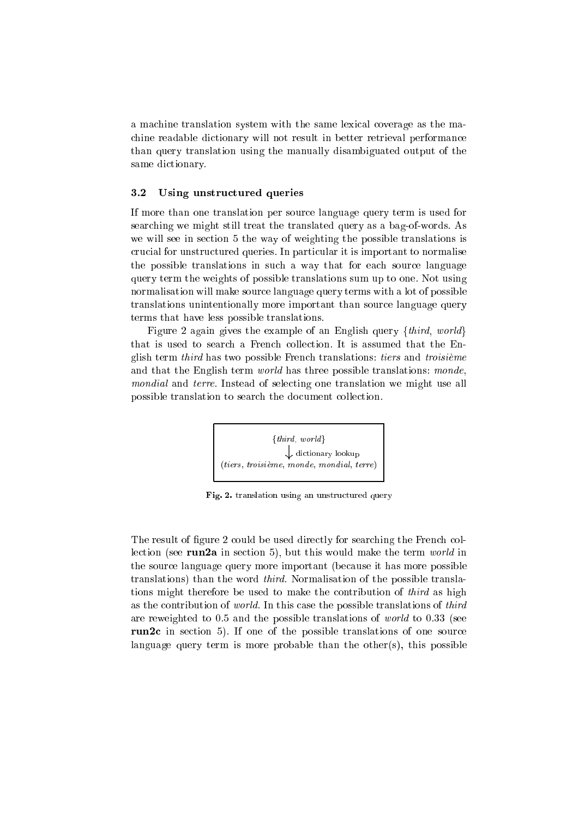a machine translation system with the same lexical coverage as the machine readable dictionary will not result in better retrieval performance than query translation using the manually disambiguated output of the same dictionary.

### 3.2 Using unstru
tured queries

If more than one translation per sour
e language query term is used for sear
hing we might still treat the translated query as a bag-of-words. As we will see in section 5 the way of weighting the possible translations is crucial for unstructured queries. In particular it is important to normalise the possible translations in such a way that for each source language query term the weights of possible translations sum up to one. Not using normalisation will make sour
e language query terms with a lot of possible translations unintentionally more important than sour
e language query terms that have less possible translations.

Figure 2 again gives the example of an English query  $\{third, world\}$ that is used to sear
h a Fren
h olle
tion. It is assumed that the English term third has two possible Fren
h translations: tiers and troisieme and that the English term world has three possible translations: monde, mondial and the terre. Instead of selection we might use all the selection we might use all the selection we m possible translation to search the document collection.



Fig. 2. translation using an unstructured query

The result of figure 2 could be used directly for searching the French collection (see  $\mathbf{run2a}$  in section 5), but this would make the term *world* in the sour
e language query more important (be
ause it has more possible translations) than the word third. Normalisation of the possible translations might therefore be used to make the contribution of *third* as high as the contribution of *world*. In this case the possible translations of *third* are reweighted to 0.5 and the possible translations of world to 0.33 (see run2c in section 5). If one of the possible translations of one source language query term is more probable than the other(s), this possible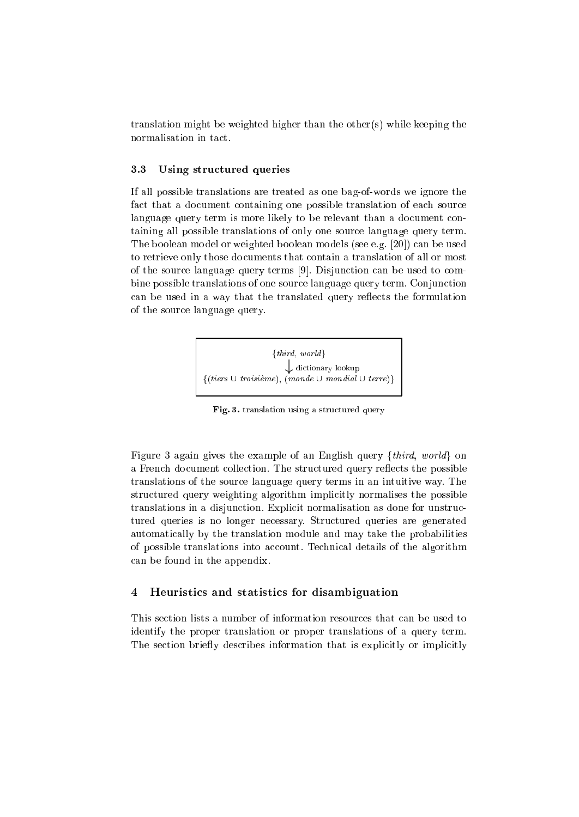translation might be weighted higher than the other(s) while keeping the normalisation in ta
t.

### 3.3 Using stru
tured queries

If all possible translations are treated as one bag-of-words we ignore the fact that a document containing one possible translation of each source language query term is more likely to be relevant than a document containing all possible translations of only one sour
e language query term. The boolean model or weighted boolean models (see e.g. [20]) can be used to retrieve only those documents that contain a translation of all or most of the source language query terms [9]. Disjunction can be used to combine possible translations of one source language query term. Conjunction can be used in a way that the translated query reflects the formulation of the sour
e language query.



Fig. 3. translation using a structured query

Figure 3 again gives the example of an English query  $\{third, world\}$  on a French document collection. The structured query reflects the possible translations of the sour
e language query terms in an intuitive way. The structured query weighting algorithm implicitly normalises the possible translations in a disjunction. Explicit normalisation as done for unstructured queries is no longer necessary. Structured queries are generated automati
ally by the translation module and may take the probabilities of possible translations into account. Technical details of the algorithm an be found in the appendix.

#### $\overline{4}$ Heuristics and statistics for disambiguation

This se
tion lists a number of information resour
es that an be used to identify the proper translation or proper translations of a query term. The section briefly describes information that is explicitly or implicitly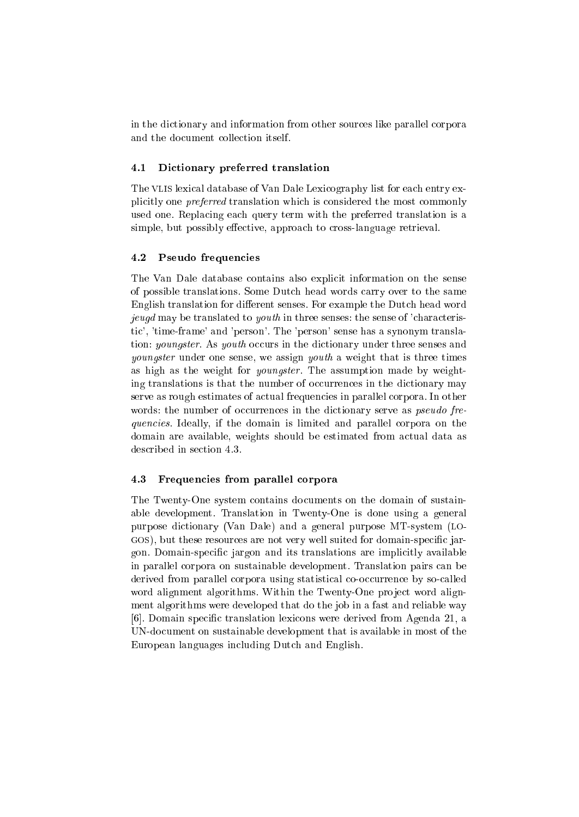in the di
tionary and information from other sour
es like parallel orpora and the document collection itself.

#### $4.1$ Dictionary preferred translation

The VLIS lexical database of Van Dale Lexicography list for each entry explicitly one *preferred* translation which is considered the most commonly used one. Repla
ing ea
h query term with the preferred translation is a simple, but possibly effective, approach to cross-language retrieval.

### 4.2 Pseudo frequen
ies

The Van Dale database ontains also expli
it information on the sense of possible translations. Some Dut
h head words arry over to the same English translation for different senses. For example the Dutch head word *jeugd* may be translated to *youth* in three senses: the sense of 'characteristi ', 'time-frame' and 'person'. The 'person' sense has a synonym translation: youngster. As youth occurs in the dictionary under three senses and youngster under one sense, we assign youth a weight that is three times as high as the weight for youngster. The assumption made by weighting translations is that the number of occurrences in the dictionary may serve as rough estimates of actual frequencies in parallel corpora. In other words: the number of occurrences in the dictionary serve as *pseudo fre*quencies. Ideally, if the domain is limited and parallel corpora on the domain are available, weights should be estimated from a
tual data as des
ribed in se
tion 4.3.

#### Frequencies from parallel corpora 4.3

The Twenty-One system contains documents on the domain of sustainable development. Translation in Twenty-One is done using a general purpose di
tionary (Van Dale) and a general purpose MT-system (LO-GOS), but these resources are not very well suited for domain-specific jargon. Domain-specific jargon and its translations are implicitly available in parallel orpora on sustainable development. Translation pairs an be derived from parallel corpora using statistical co-occurrence by so-called word alignment algorithms. Within the Twenty-One project word alignment algorithms were developed that do the job in a fast and reliable way [6]. Domain specific translation lexicons were derived from Agenda 21, a UN-document on sustainable development that is available in most of the European languages in
luding Dut
h and English.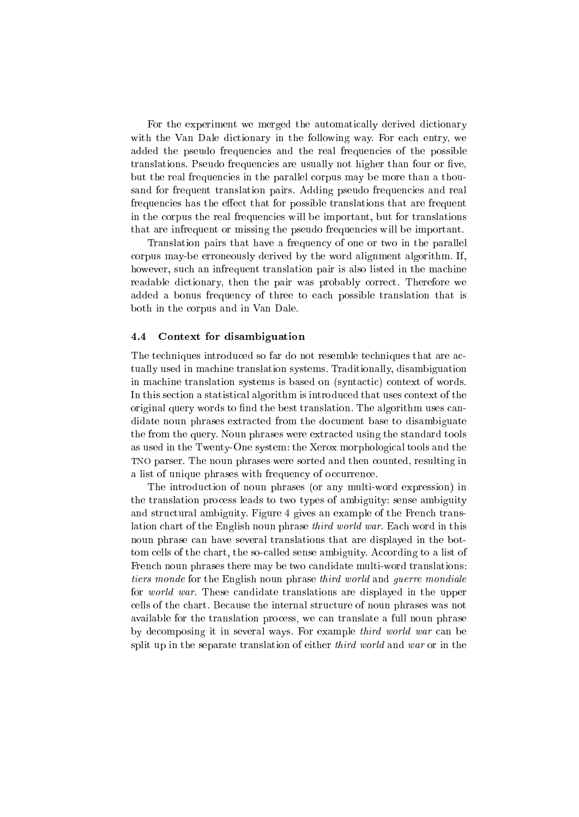For the experiment we merged the automatically derived dictionary with the Van Dale dictionary in the following way. For each entry, we added the pseudo frequencies and the real frequencies of the possible translations. Pseudo frequencies are usually not higher than four or five, but the real frequencies in the parallel corpus may be more than a thousand for frequent translation pairs. Adding pseudo frequen
ies and real frequencies has the effect that for possible translations that are frequent in the orpus the real frequen
ies will be important, but for translations that are infrequent or missing the pseudo frequencies will be important.

Translation pairs that have a frequency of one or two in the parallel orpus may-be erroneously derived by the word alignment algorithm. If, however, such an infrequent translation pair is also listed in the machine readable dictionary, then the pair was probably correct. Therefore we added a bonus frequen
y of three to ea
h possible translation that is both in the orpus and in Van Dale.

### 4.4 Context for disambiguation

The techniques introduced so far do not resemble techniques that are actually used in ma
hine translation systems. Traditionally, disambiguation in machine translation systems is based on (syntactic) context of words. In this section a statistical algorithm is introduced that uses context of the original query words to find the best translation. The algorithm uses candidate noun phrases extracted from the document base to disambiguate the from the query. Noun phrases were extracted using the standard tools as used in the Twenty-One system: the Xerox morphologi
al tools and the TNO parser. The noun phrases were sorted and then ounted, resulting in a list of unique phrases with frequency of occurrence.

The introdu
tion of noun phrases (or any multi-word expression) in the translation pro
ess leads to two types of ambiguity: sense ambiguity and structural ambiguity. Figure 4 gives an example of the French translation chart of the English noun phrase third world war. Each word in this noun phrase can have several translations that are displayed in the bottom cells of the chart, the so-called sense ambiguity. According to a list of Fren
h noun phrases there may be two andidate multi-word translations: tiers monde for the English noun phrase third world and guerre mondiale for *world war*. These candidate translations are displayed in the upper ells of the hart. Be
ause the internal stru
ture of noun phrases was not available for the translation process, we can translate a full noun phrase by decomposing it in several ways. For example *third world war* can be split up in the separate translation of either *third world* and war or in the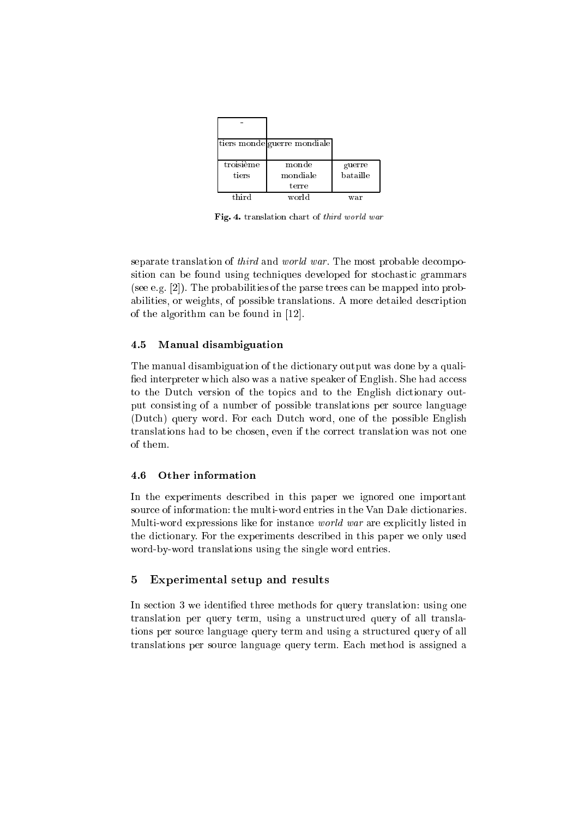

Fig. 4. translation hart of third world war

separate translation of *third* and *world war*. The most probable decomposition an be found using te
hniques developed for sto
hasti grammars  $($ see e.g.  $[2]$ ). The probabilities of the parse trees can be mapped into probabilities, or weights, of possible translations. A more detailed description of the algorithm can be found in  $[12]$ .

### 4.5 Manual disambiguation

The manual disambiguation of the dictionary output was done by a qualified interpreter which also was a native speaker of English. She had access to the Dutch version of the topics and to the English dictionary output onsisting of a number of possible translations per sour
e language (Dut
h) query word. For ea
h Dut
h word, one of the possible English translations had to be hosen, even if the orre
t translation was not one

#### $4.6$ Other information

In the experiments described in this paper we ignored one important source of information: the multi-word entries in the Van Dale dictionaries. Multi-word expressions like for instance *world war* are explicitly listed in the di
tionary. For the experiments des
ribed in this paper we only used word-by-word translations using the single word entries.

### $\overline{5}$ 5 Experimental setup and results

In section 3 we identified three methods for query translation: using one translation per query term, using a unstructured query of all translations per source language query term and using a structured query of all translations per sour
e language query term. Ea
h method is assigned a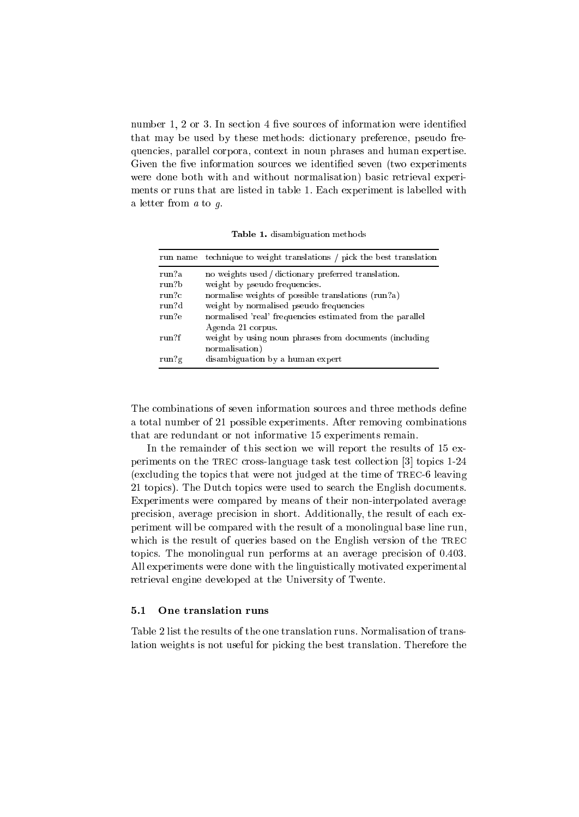number 1, 2 or 3. In section 4 five sources of information were identified that may be used by these methods: dictionary preference, pseudo frequen
ies, parallel orpora, ontext in noun phrases and human expertise. Given the five information sources we identified seven (two experiments were done both with and without normalisation) basic retrieval experiments or runs that are listed in table 1. Each experiment is labelled with a letter from <sup>a</sup> to g.

| run name | technique to weight translations / pick the best translation |
|----------|--------------------------------------------------------------|
| run?a    | no weights used / dictionary preferred translation.          |
| run?b    | weight by pseudo frequencies.                                |
| run?c    | normalise weights of possible translations (run?a)           |
| run?d    | weight by normalised pseudo frequencies                      |
| run?e    | normalised 'real' frequencies estimated from the parallel    |
|          | Agenda 21 corpus.                                            |
| run?f    | weight by using noun phrases from documents (including       |
|          | normalisation)                                               |
| run?g    | disambiguation by a human expert                             |
|          |                                                              |

Table 1. disambiguation methods

The combinations of seven information sources and three methods define a total number of 21 possible experiments. After removing combinations that are redundant or not informative 15 experiments remain.

In the remainder of this section we will report the results of 15 experiments on the TREC cross-language task test collection  $[3]$  topics 1-24 (ex
luding the topi
s that were not judged at the time of TREC-6 leaving 21 topics). The Dutch topics were used to search the English documents. Experiments were ompared by means of their non-interpolated average precision, average precision in short. Additionally, the result of each experiment will be ompared with the result of a monolingual base line run, which is the result of queries based on the English version of the TREC topics. The monolingual run performs at an average precision of 0.403. All experiments were done with the linguisti
ally motivated experimental retrieval engine developed at the University of Twente.

### 5.1 One translation runs

Table 2 list the results of the one translation runs. Normalisation of translation weights is not useful for pi
king the best translation. Therefore the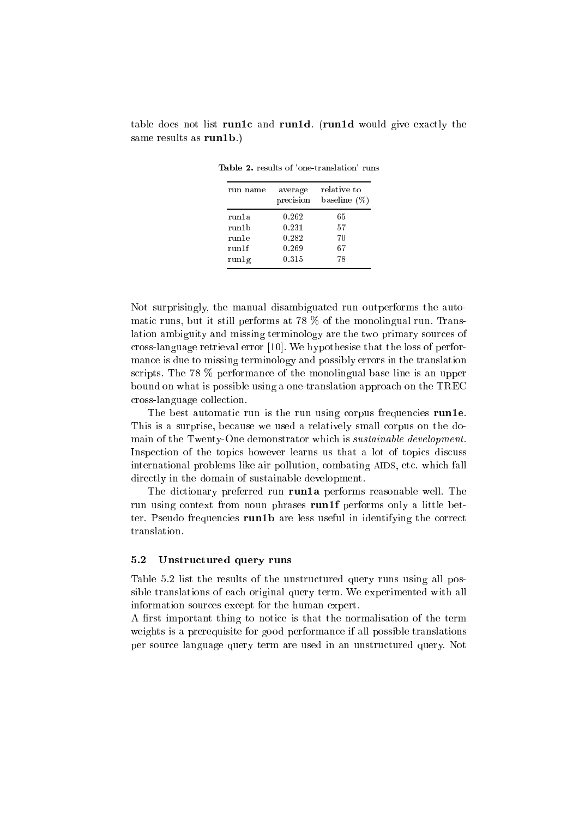table does not list  $run1c$  and  $run1d$ . (run1d would give exactly the same results as run1b.)

| run name | average<br>precision | relative to<br>baseline $(\%)$ |
|----------|----------------------|--------------------------------|
| run1a    | 0.262                | 65                             |
| run1b    | 0.231                | 57                             |
| run1e    | 0.282                | 70                             |
| run 1 f  | 0.269                | 67                             |
| runlg    | 0.315                | 78                             |

Table 2. results of 'one-translation' runs

Not surprisingly, the manual disambiguated run outperforms the automatic runs, but it still performs at 78 % of the monolingual run. Translation ambiguity and missing terminology are the two primary sour
es of cross-language retrieval error [10]. We hypothesise that the loss of performan
e is due to missing terminology and possibly errors in the translation s
ripts. The 78 % performan
e of the monolingual base line is an upper bound on what is possible using a one-translation approach on the TREC ross-language olle
tion.

The best automatic run is the run using corpus frequencies run1e. This is a surprise, because we used a relatively small corpus on the domain of the Twenty-One demonstrator which is *sustainable development*. Inspection of the topics however learns us that a lot of topics discuss international problems like air pollution, ombating AIDS, et
. whi
h fall dire
tly in the domain of sustainable development.

The dictionary preferred run run1a performs reasonable well. The run using context from noun phrases run1f performs only a little better. Pseudo frequencies run1b are less useful in identifying the correct translation.

#### $5.2$ Unstructured query runs

Table 5.2 list the results of the unstru
tured query runs using all possible translations of each original query term. We experimented with all information sour
es ex
ept for the human expert.

A first important thing to notice is that the normalisation of the term weights is a prerequisite for good performan
e if all possible translations per sour
e language query term are used in an unstru
tured query. Not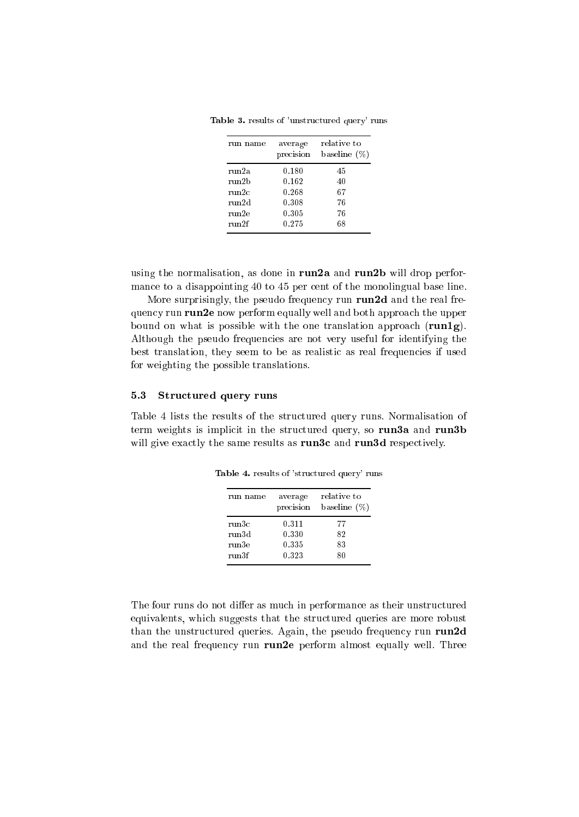| run name | average<br>precision | relative to<br>baseline $(\%)$ |
|----------|----------------------|--------------------------------|
| run2a    | 0.180                | 45                             |
| run2b    | 0.162                | 40                             |
| run2c    | 0.268                | 67                             |
| run2d    | 0.308                | 76                             |
| run2e    | 0.305                | 76                             |
| run2f    | 0.275                | 68                             |

Table 3. results of 'unstructured query' runs

using the normalisation, as done in run2a and run2b will drop performan
e to a disappointing 40 to 45 per ent of the monolingual base line.

More surprisingly, the pseudo frequency run run2d and the real frequency run run2e now perform equally well and both approach the upper bound on what is possible with the one translation approach  $(\mathbf{run1g})$ . Although the pseudo frequencies are not very useful for identifying the best translation, they seem to be as realistic as real frequencies if used for weighting the possible translations.

### 5.3 Stru
tured query runs

Table 4 lists the results of the structured query runs. Normalisation of term weights is implicit in the structured query, so run3a and run3b will give exactly the same results as run3c and run3d respectively.

| run name | average<br>precision | relative to<br>baseline $(\%)$ |
|----------|----------------------|--------------------------------|
| run3c    | 0.311                | 77                             |
| run3d    | 0.330                | 82                             |
| run3e    | 0.335                | 83                             |
| run3f    | 0.323                | 80                             |

Table 4. results of 'structured query' runs

The four runs do not differ as much in performance as their unstructured equivalents, whi
h suggests that the stru
tured queries are more robust than the unstructured queries. Again, the pseudo frequency run run2d and the real frequency run run2e perform almost equally well. Three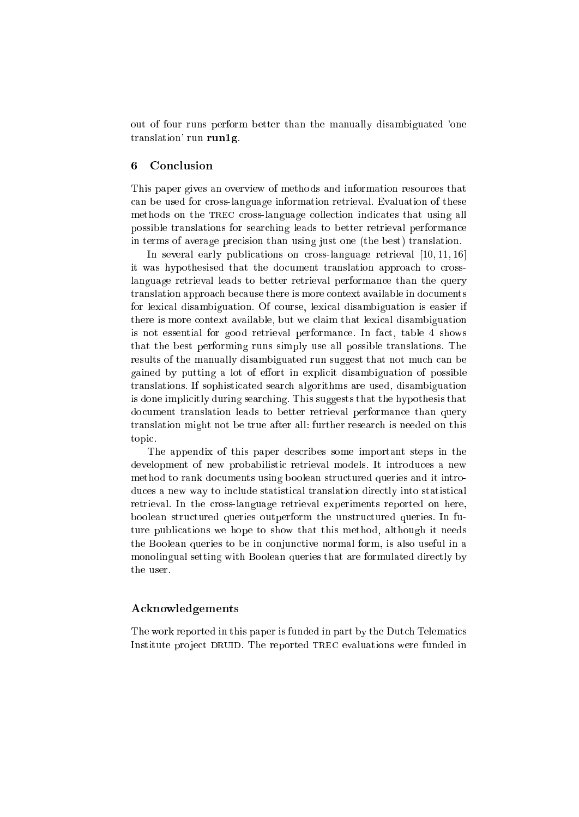out of four runs perform better than the manually disambiguated 'one translation' run run1g.

#### Conclusion 6

This paper gives an overview of methods and information resour
es that can be used for cross-language information retrieval. Evaluation of these methods on the TREC cross-language collection indicates that using all possible translations for sear
hing leads to better retrieval performan
e in terms of average precision than using just one (the best) translation.

In several early publications on cross-language retrieval  $[10, 11, 16]$ it was hypothesised that the document translation approach to crosslanguage retrieval leads to better retrieval performance than the query translation approach because there is more context available in documents for lexi
al disambiguation. Of ourse, lexi
al disambiguation is easier if there is more ontext available, but we laim that lexi
al disambiguation is not essential for good retrieval performance. In fact, table 4 shows that the best performing runs simply use all possible translations. The results of the manually disambiguated run suggest that not much can be gained by putting a lot of effort in explicit disambiguation of possible translations. If sophisti
ated sear
h algorithms are used, disambiguation is done impli
itly during sear
hing. This suggests that the hypothesis that document translation leads to better retrieval performance than query translation might not be true after all: further resear
h is needed on this topi
.

The appendix of this paper des
ribes some important steps in the development of new probabilistic retrieval models. It introduces a new method to rank documents using boolean structured queries and it introduces a new way to include statistical translation directly into statistical retrieval. In the ross-language retrieval experiments reported on here, boolean structured queries outperform the unstructured queries. In future publi
ations we hope to show that this method, although it needs the Boolean queries to be in onjun
tive normal form, is also useful in a monolingual setting with Boolean queries that are formulated directly by the user.

### A
knowledgements

The work reported in this paper is funded in part by the Dutch Telematics Institute project DRUID. The reported TREC evaluations were funded in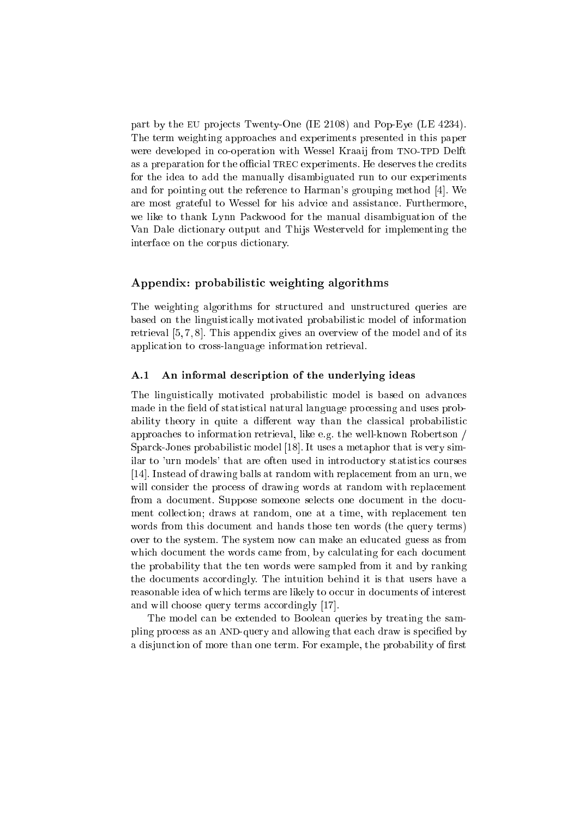part by the EU projects Twenty-One (IE 2108) and Pop-Eye (LE 4234). The term weighting approaches and experiments presented in this paper were developed in co-operation with Wessel Kraaij from TNO-TPD Delft as a preparation for the official TREC experiments. He deserves the credits for the idea to add the manually disambiguated run to our experiments and for pointing out the reference to Harman's grouping method [4]. We are most grateful to Wessel for his advi
e and assistan
e. Furthermore, we like to thank Lynn Pa
kwood for the manual disambiguation of the Van Dale dictionary output and Thijs Westerveld for implementing the interfa
e on the orpus di
tionary.

### Appendix: probabilistic weighting algorithms

The weighting algorithms for stru
tured and unstru
tured queries are based on the linguisti
ally motivated probabilisti model of information retrieval  $[5, 7, 8]$ . This appendix gives an overview of the model and of its application to cross-language information retrieval.

### A.1 An informal des
ription of the underlying ideas

The linguisti
ally motivated probabilisti model is based on advan
es made in the field of statistical natural language processing and uses probability theory in quite a different way than the classical probabilistic approa
hes to information retrieval, like e.g. the well-known Robertson / Sparck-Jones probabilistic model [18]. It uses a metaphor that is very similar to 'urn models' that are often used in introductory statistics courses [14]. Instead of drawing balls at random with replacement from an urn, we will consider the process of drawing words at random with replacement from a document. Suppose someone selects one document in the document collection; draws at random, one at a time, with replacement ten words from this document and hands those ten words (the query terms) over to the system. The system now can make an educated guess as from which document the words came from, by calculating for each document the probability that the ten words were sampled from it and by ranking the documents accordingly. The intuition behind it is that users have a reasonable idea of which terms are likely to occur in documents of interest and will choose query terms accordingly [17].

The model can be extended to Boolean queries by treating the sampling process as an AND-query and allowing that each draw is specified by a disjunction of more than one term. For example, the probability of first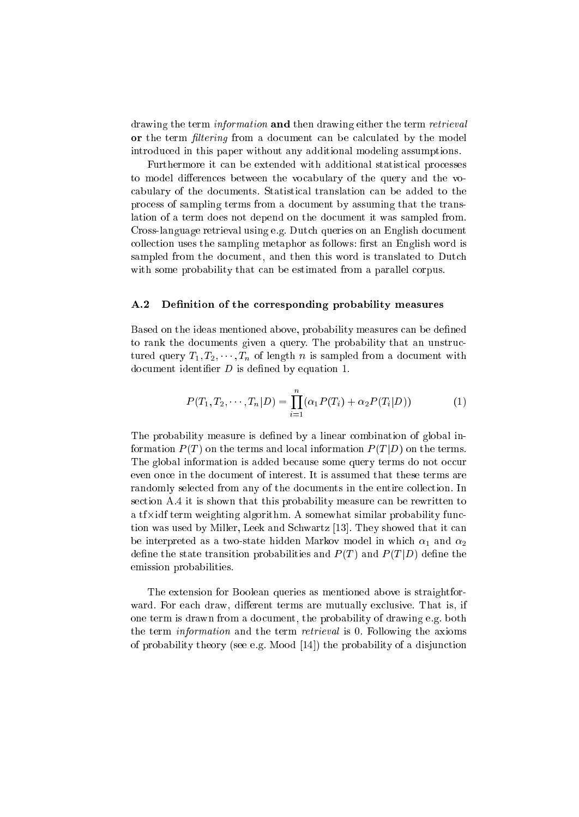drawing the term *information* and then drawing either the term *retrieval* or the term *filtering* from a document can be calculated by the model introdu
ed in this paper without any additional modeling assumptions.

Furthermore it can be extended with additional statistical processes to model differences between the vocabulary of the query and the voabulary of the do
uments. Statisti
al translation an be added to the pro
ess of sampling terms from a do
ument by assuming that the translation of a term does not depend on the document it was sampled from. Cross-language retrieval using e.g. Dut
h queries on an English do
ument collection uses the sampling metaphor as follows: first an English word is sampled from the document, and then this word is translated to Dutch with some probability that can be estimated from a parallel corpus.

#### $A.2$ Definition of the corresponding probability measures

Based on the ideas mentioned above, probability measures can be defined to rank the documents given a query. The probability that an unstructured query  $T_1, T_2, \cdots, T_n$  of length n is sampled from a document with document identifier  $D$  is defined by equation 1.

$$
P(T_1, T_2, \cdots, T_n | D) = \prod_{i=1}^n (\alpha_1 P(T_i) + \alpha_2 P(T_i | D))
$$
 (1)

The probability measure is defined by a linear combination of global information  $P(T)$  on the terms and local information  $P(T|D)$  on the terms. The global information is added because some query terms do not occur even on
e in the do
ument of interest. It is assumed that these terms are randomly selected from any of the documents in the entire collection. In section A.4 it is shown that this probability measure can be rewritten to a term weighting algorithm. A somewhat similar probability function  $\mathcal{L}$ tion was used by Miller, Leek and Schwartz [13]. They showed that it can be interpreted as a two-state hidden Markov model in whi
h 1 and 2 define the state transition probabilities and  $P(T)$  and  $P(T|D)$  define the emission probabilities.

The extension for Boolean queries as mentioned above is straightforward. For each draw, different terms are mutually exclusive. That is, if one term is drawn from a do
ument, the probability of drawing e.g. both the term *information* and the term *retrieval* is 0. Following the axioms of probability theory (see e.g. Mood  $[14]$ ) the probability of a disjunction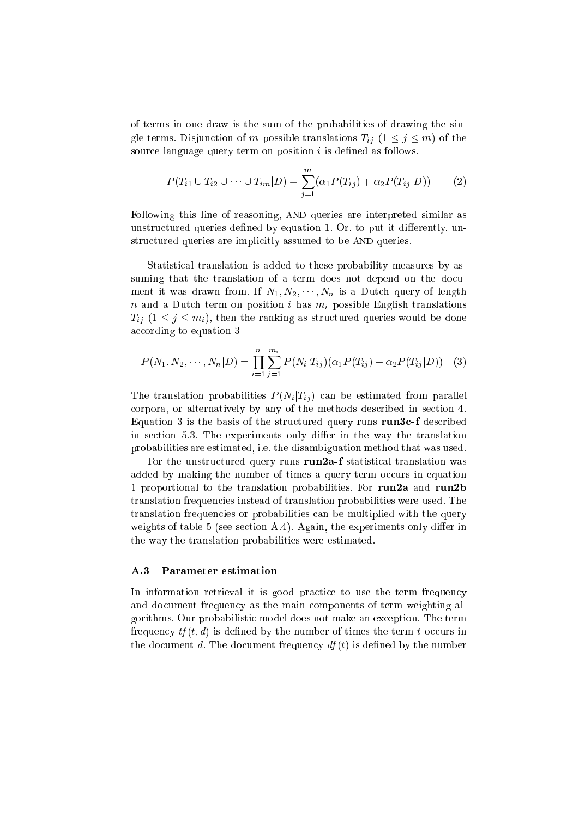of terms in one draw is the sum of the probabilities of drawing the single terms. Disjunction of m possible translations  $T_{ij}$   $(1 \leq j \leq m)$  of the source language query term on position  $i$  is defined as follows.

$$
P(T_{i1} \cup T_{i2} \cup \cdots \cup T_{im}|D) = \sum_{j=1}^{m} (\alpha_1 P(T_{ij}) + \alpha_2 P(T_{ij}|D))
$$
 (2)

Following this line of reasoning, AND queries are interpreted similar as unstructured queries defined by equation 1. Or, to put it differently, unstructured queries are implicitly assumed to be AND queries.

Statisti
al translation is added to these probability measures by assuming that the translation of a term does not depend on the document it was drawn from. If  $N_1, N_2, \cdots, N_n$  is a Dutch query of length  $n$  and a Dutch term on position *i* has  $m_i$  possible English translations  $T_{ij}$   $(1 \leq j \leq m_i)$ , then the ranking as structured queries would be done according to equation 3

$$
P(N_1, N_2, \cdots, N_n | D) = \prod_{i=1}^n \sum_{j=1}^{m_i} P(N_i | T_{ij}) (\alpha_1 P(T_{ij}) + \alpha_2 P(T_{ij} | D)) \quad (3)
$$

The translation probabilities  $P(N_i|T_{ij})$  can be estimated from parallel orpora, or alternatively by any of the methods des
ribed in se
tion 4. Equation 3 is the basis of the structured query runs run3c-f described in section 5.3. The experiments only differ in the way the translation probabilities are estimated, i.e. the disambiguation method that was used.

For the unstructured query runs run2a-f statistical translation was added by making the number of times a query term occurs in equation 1 proportional to the translation probabilities. For run2a and run2b translation frequen
ies instead of translation probabilities were used. The translation frequen
ies or probabilities an be multiplied with the query weights of table  $5$  (see section A.4). Again, the experiments only differ in the way the translation probabilities were estimated.

### A.3 Parameter estimation

In information retrieval it is good practice to use the term frequency and document frequency as the main components of term weighting algorithms. Our probabilisti model does not make an ex
eption. The term frequency  $tf(t, d)$  is defined by the number of times the term t occurs in the document d. The document frequency  $df(t)$  is defined by the number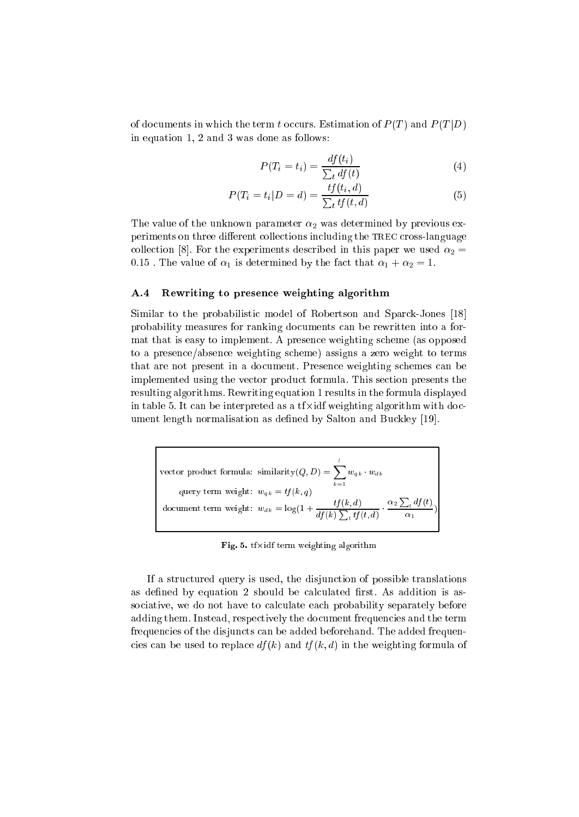of documents in which the term t occurs. Estimation of  $P(T)$  and  $P(T|D)$ in equation 1, 2 and 3 was done as follows:

$$
P(T_i = t_i) = \frac{df(t_i)}{\sum_t df(t)}
$$
\n<sup>(4)</sup>

$$
P(T_i = t_i | D = d) = \frac{tf(t_i, d)}{\sum_t tf(t, d)}
$$
\n
$$
(5)
$$

The value of the unknown parameter  $2$  was determined by previous ex- $\mu$  previous experiments on three different collections including the TREC cross-language olle tion for the experiment despite the experiments described in the compact property we use the experiment o 0:15 . The value of 1 is determined by the fact that 1 is de

### A.4 Rewriting to presen
e weighting algorithm

Similar to the probabilistic model of Robertson and Sparck-Jones [18] probability measures for ranking do
uments an be rewritten into a format that is easy to implement. A presen
e weighting s
heme (as opposed to a presen
e/absen
e weighting s
heme) assigns a zero weight to terms that are not present in a do
ument. Presen
e weighting s
hemes an be implemented using the ve
tor produ
t formula. This se
tion presents the resulting algorithms. Rewriting equation 1 results in the formula displayed in table 5. It an be interpreted as a tf-idf weighting algorithm with do
 ument length normalisation as defined by Salton and Buckley [19].

vector product formula: similarity(Q, D) = 
$$
\sum_{k=1}^{l} w_{qk} \cdot w_{dk}
$$
  
\nquery term weight:  $w_{qk} = tf(k, q)$   
\ndocument term weight:  $w_{dk} = \log(1 + \frac{tf(k, d)}{df(k) \sum_t tf(t, d)} \cdot \frac{\alpha_2 \sum_t df(t)}{\alpha_1})$ 

Fig. 5. tf-idf term weighting algorithm

If a structured query is used, the disjunction of possible translations as defined by equation 2 should be calculated first. As addition is associative, we do not have to calculate each probability separately before adding them. Instead, respectively the document frequencies and the term frequencies of the disjuncts can be added beforehand. The added frequencies can be used to replace  $df(k)$  and  $tf(k, d)$  in the weighting formula of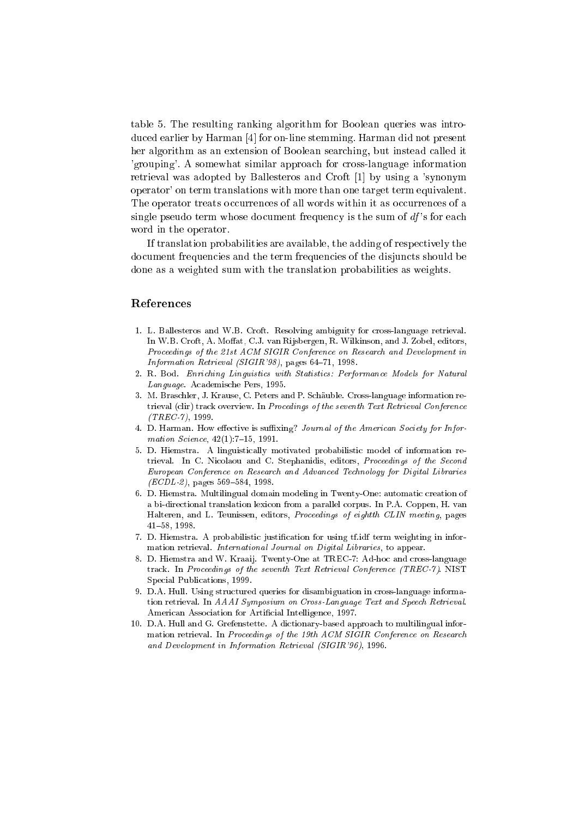table 5. The resulting ranking algorithm for Boolean queries was introduced earlier by Harman [4] for on-line stemming. Harman did not present her algorithm as an extension of Boolean searching, but instead called it 'grouping'. A somewhat similar approach for cross-language information retrieval was adopted by Ballesteros and Croft [1] by using a 'synonym operator' on term translations with more than one target term equivalent. The operator treats occurrences of all words within it as occurrences of a single pseudo term whose document frequency is the sum of  $df$ 's for each word in the operator.

If translation probabilities are available, the adding of respectively the document frequencies and the term frequencies of the disjuncts should be done as a weighted sum with the translation probabilities as weights.

### Referen
es

- 1. L. Ballesteros and W.B. Croft. Resolving ambiguity for ross-language retrieval. In W.B. Croft, A. Moffat, C.J. van Rijsbergen, R. Wilkinson, and J. Zobel, editors, Proceedings of the 21st ACM SIGIR Conference on Research and Development in Information Retrieval (SIGIR'98), pages  $64-71$ , 1998.
- 2. R. Bod. Enri
hing Linguisti
s with Statisti
s: Performan
e Models for Natural Language. A
ademis
he Pers, 1995.
- 3. M. Bras
hler, J. Krause, C. Peters and P. S
hauble. Cross-language information retrieval (clir) track overview. In Procedings of the seventh Text Retrieval Conference  $(TREC 7)$ , 1999.
- 4. D. Harman. How effective is suffixing? Journal of the American Society for Information Science, 42(1):7-15, 1991.
- 5. D. Hiemstra. A linguisti
ally motivated probabilisti model of information retrieval. In C. Nicolaou and C. Stephanidis, editors, Proceedings of the Second European Conference on Research and Advanced Technology for Digital Libraries  $(ECDL-2)$ , pages 569-584, 1998.
- 6. D. Hiemstra. Multilingual domain modeling in Twenty-One: automatic creation of a bi-dire
tional translation lexi
on from a parallel orpus. In P.A. Coppen, H. van Halteren, and L. Teunissen, editors, Proceedings of eightth CLIN meeting, pages 41{58, 1998.
- 7. D. Hiemstra. A probabilistic justification for using tf.idf term weighting in information retrieval. International Journal on Digital Libraries, to appear.
- 8. D. Hiemstra and W. Kraaij. Twenty-One at TREC-7: Ad-hoc and cross-language track. In Proceedings of the seventh Text Retrieval Conference (TREC-7). NIST Spe
ial Publi
ations, 1999.
- 9. D.A. Hull. Using stru
tured queries for disambiguation in ross-language information retrieval. In AAAI Symposium on Cross-Language Text and Spee
h Retrieval. American Association for Artificial Intelligence, 1997.
- 10. D.A. Hull and G. Grefenstette. A dictionary-based approach to multilingual information retrieval. In Proceedings of the 19th ACM SIGIR Conference on Research and Development in Information Retrieval (SIGIR'96), 1996.